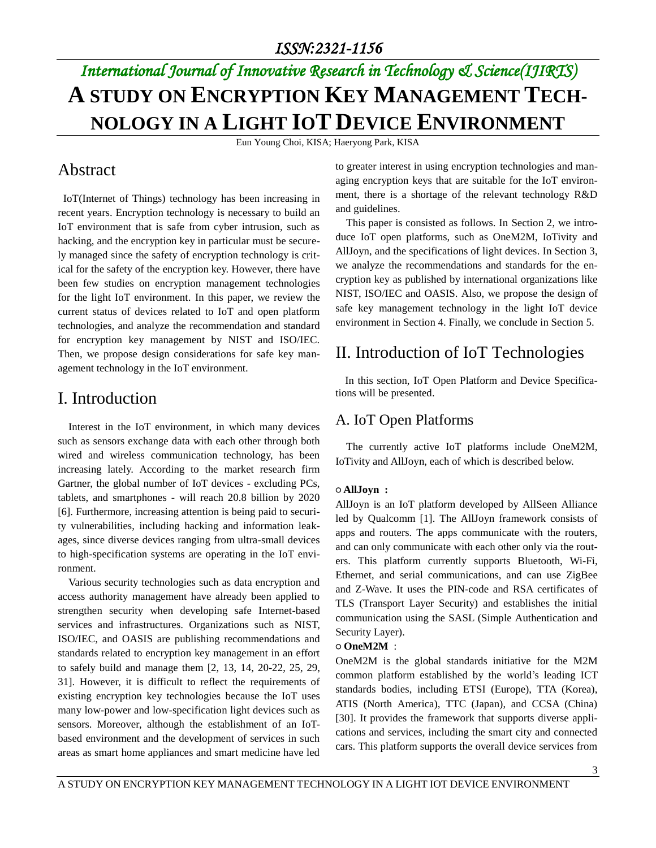# *International Journal of Innovative Research in Technology & Science(IJIRTS)* **A STUDY ON ENCRYPTION KEY MANAGEMENT TECH-NOLOGY IN A LIGHT IOT DEVICE ENVIRONMENT**

Eun Young Choi, KISA; Haeryong Park, KISA

### Abstract

IoT(Internet of Things) technology has been increasing in recent years. Encryption technology is necessary to build an IoT environment that is safe from cyber intrusion, such as hacking, and the encryption key in particular must be securely managed since the safety of encryption technology is critical for the safety of the encryption key. However, there have been few studies on encryption management technologies for the light IoT environment. In this paper, we review the current status of devices related to IoT and open platform technologies, and analyze the recommendation and standard for encryption key management by NIST and ISO/IEC. Then, we propose design considerations for safe key management technology in the IoT environment.

### I. Introduction

Interest in the IoT environment, in which many devices such as sensors exchange data with each other through both wired and wireless communication technology, has been increasing lately. According to the market research firm Gartner, the global number of IoT devices - excluding PCs, tablets, and smartphones - will reach 20.8 billion by 2020 [6]. Furthermore, increasing attention is being paid to security vulnerabilities, including hacking and information leakages, since diverse devices ranging from ultra-small devices to high-specification systems are operating in the IoT environment.

Various security technologies such as data encryption and access authority management have already been applied to strengthen security when developing safe Internet-based services and infrastructures. Organizations such as NIST, ISO/IEC, and OASIS are publishing recommendations and standards related to encryption key management in an effort to safely build and manage them [2, 13, 14, 20-22, 25, 29, 31]. However, it is difficult to reflect the requirements of existing encryption key technologies because the IoT uses many low-power and low-specification light devices such as sensors. Moreover, although the establishment of an IoTbased environment and the development of services in such areas as smart home appliances and smart medicine have led

to greater interest in using encryption technologies and managing encryption keys that are suitable for the IoT environment, there is a shortage of the relevant technology R&D and guidelines.

This paper is consisted as follows. In Section 2, we introduce IoT open platforms, such as OneM2M, IoTivity and AllJoyn, and the specifications of light devices. In Section 3, we analyze the recommendations and standards for the encryption key as published by international organizations like NIST, ISO/IEC and OASIS. Also, we propose the design of safe key management technology in the light IoT device environment in Section 4. Finally, we conclude in Section 5.

### II. Introduction of IoT Technologies

In this section, IoT Open Platform and Device Specifications will be presented.

### A. IoT Open Platforms

The currently active IoT platforms include OneM2M, IoTivity and AllJoyn, each of which is described below.

#### **○ AllJoyn :**

AllJoyn is an IoT platform developed by AllSeen Alliance led by Qualcomm [1]. The AllJoyn framework consists of apps and routers. The apps communicate with the routers, and can only communicate with each other only via the routers. This platform currently supports Bluetooth, Wi-Fi, Ethernet, and serial communications, and can use ZigBee and Z-Wave. It uses the PIN-code and RSA certificates of TLS (Transport Layer Security) and establishes the initial communication using the SASL (Simple Authentication and Security Layer).

#### **○ OneM2M** :

OneM2M is the global standards initiative for the M2M common platform established by the world's leading ICT standards bodies, including ETSI (Europe), TTA (Korea), ATIS (North America), TTC (Japan), and CCSA (China) [30]. It provides the framework that supports diverse applications and services, including the smart city and connected cars. This platform supports the overall device services from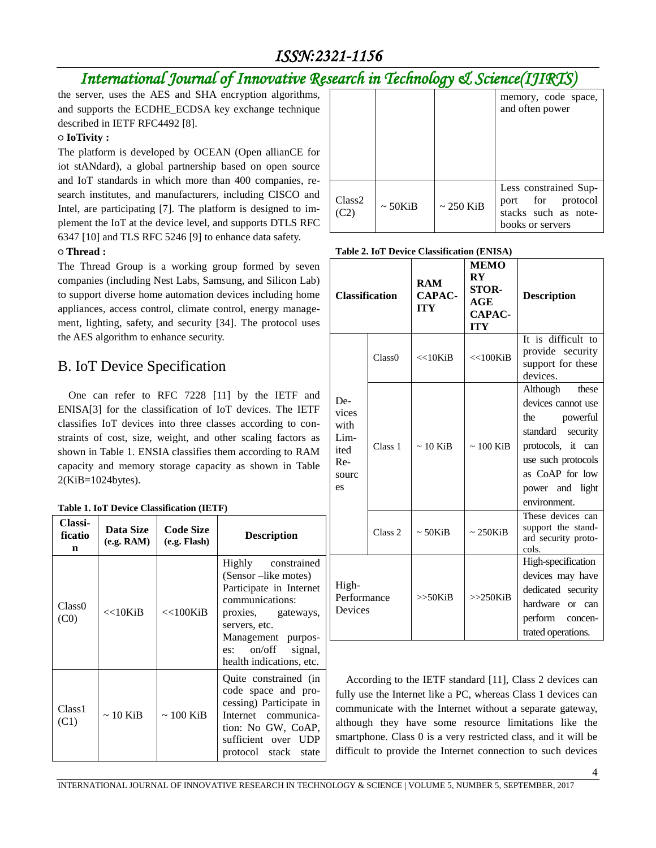# *International Journal of Innovative Research in Technology & Science(IJIRTS)*

the server, uses the AES and SHA encryption algorithms, and supports the ECDHE\_ECDSA key exchange technique described in IETF RFC4492 [8].

#### **○ IoTivity :**

The platform is developed by OCEAN (Open allianCE for iot stANdard), a global partnership based on open source and IoT standards in which more than 400 companies, research institutes, and manufacturers, including CISCO and Intel, are participating [7]. The platform is designed to implement the IoT at the device level, and supports DTLS RFC 6347 [10] and TLS RFC 5246 [9] to enhance data safety.

#### **○ Thread :**

The Thread Group is a working group formed by seven companies (including Nest Labs, Samsung, and Silicon Lab) to support diverse home automation devices including home appliances, access control, climate control, energy management, lighting, safety, and security [34]. The protocol uses the AES algorithm to enhance security.

### B. IoT Device Specification

One can refer to RFC 7228 [11] by the IETF and ENISA[3] for the classification of IoT devices. The IETF classifies IoT devices into three classes according to constraints of cost, size, weight, and other scaling factors as shown in Table 1. ENSIA classifies them according to RAM capacity and memory storage capacity as shown in Table 2(KiB=1024bytes).

| $\sigma$ . To the set of $\sigma$ of $\sigma$ of $\sigma$ of $\sigma$ $\sigma$ $\sigma$ $\sigma$ $\sigma$ $\sigma$ |                         |                                  |                                                                                                                                                                                                               |
|--------------------------------------------------------------------------------------------------------------------|-------------------------|----------------------------------|---------------------------------------------------------------------------------------------------------------------------------------------------------------------------------------------------------------|
| Classi-<br>ficatio<br>n                                                                                            | Data Size<br>(e.g. RAM) | <b>Code Size</b><br>(e.g. Flash) | <b>Description</b>                                                                                                                                                                                            |
| Class <sub>0</sub><br>(C0)                                                                                         | $<<10$ KiB              | $<<$ 100 $K$ iB                  | Highly constrained<br>(Sensor –like motes)<br>Participate in Internet<br>communications:<br>proxies, gateways,<br>servers, etc.<br>Management purpos-<br>on/off<br>signal,<br>es:<br>health indications, etc. |
| Class <sub>1</sub><br>(C1)                                                                                         | $\sim$ 10 KiB           | $\sim 100$ KiB                   | Quite constrained (in<br>code space and pro-<br>cessing) Participate in<br>Internet communica-<br>tion: No GW, CoAP,<br>sufficient over<br><b>UDP</b><br>protocol stack<br>state                              |

|                |              | ບຸ             |                                                                                           |
|----------------|--------------|----------------|-------------------------------------------------------------------------------------------|
|                |              |                | memory, code space,<br>and often power                                                    |
| Class2<br>(C2) | $\sim$ 50KiB | $\sim$ 250 KiB | Less constrained Sup-<br>port for<br>protocol<br>stacks such as note-<br>books or servers |

**Table 2. IoT Device Classification (ENISA)** 

| <b>Classification</b>                                        |                    | <b>RAM</b><br>CAPAC-<br><b>ITY</b> | <b>MEMO</b><br>$\mathbf{R}\mathbf{Y}$<br><b>STOR-</b><br>AGE<br>CAPAC-<br><b>ITY</b> | <b>Description</b>                                                                                                                                                               |
|--------------------------------------------------------------|--------------------|------------------------------------|--------------------------------------------------------------------------------------|----------------------------------------------------------------------------------------------------------------------------------------------------------------------------------|
|                                                              | Class <sub>0</sub> | $<<10$ KiB                         | $<<$ 100 $K$ iB                                                                      | It is difficult to<br>provide security<br>support for these<br>devices.                                                                                                          |
| De-<br>vices<br>with<br>Lim-<br>ited<br>$Re-$<br>sourc<br>es | Class <sub>1</sub> | $\sim 10$ KiB                      | $\sim 100$ KiB                                                                       | Although these<br>devices cannot use<br>the<br>powerful<br>standard<br>security<br>protocols, it can<br>use such protocols<br>as CoAP for low<br>power and light<br>environment. |
|                                                              | Class <sub>2</sub> | $\sim$ 50KiB                       | $\sim 250$ KiB                                                                       | These devices can<br>support the stand-<br>ard security proto-<br>cols.                                                                                                          |
| High-<br>Performance<br><b>Devices</b>                       |                    | $>>50$ KiB                         | $>>250$ KiB                                                                          | High-specification<br>devices may have<br>dedicated security<br>hardware<br>or can<br>perform<br>concen-<br>trated operations.                                                   |

According to the IETF standard [11], Class 2 devices can fully use the Internet like a PC, whereas Class 1 devices can communicate with the Internet without a separate gateway, although they have some resource limitations like the smartphone. Class 0 is a very restricted class, and it will be difficult to provide the Internet connection to such devices

4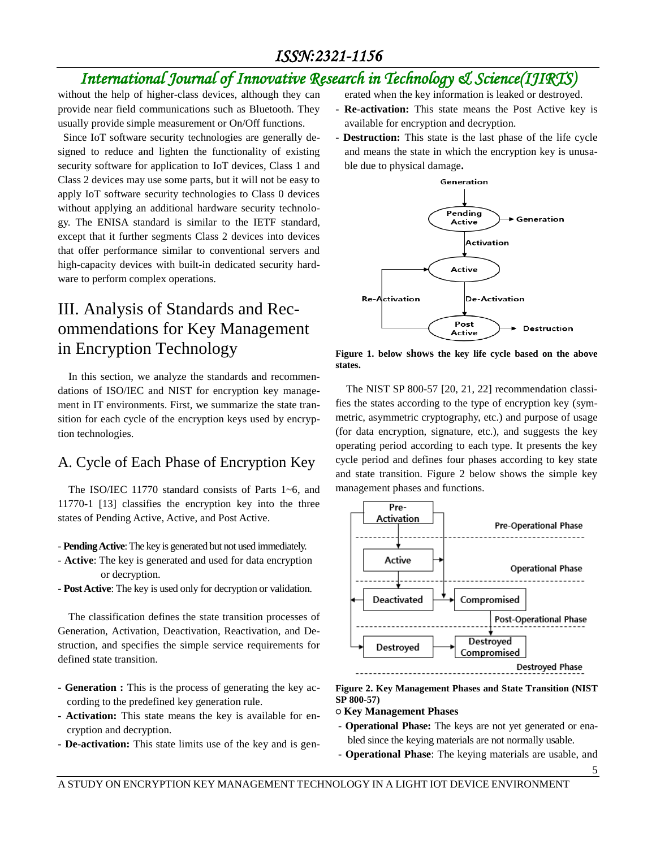# *International Journal of Innovative Research in Technology & Science(IJIRTS)*

without the help of higher-class devices, although they can provide near field communications such as Bluetooth. They usually provide simple measurement or On/Off functions.

Since IoT software security technologies are generally designed to reduce and lighten the functionality of existing security software for application to IoT devices, Class 1 and Class 2 devices may use some parts, but it will not be easy to apply IoT software security technologies to Class 0 devices without applying an additional hardware security technology. The ENISA standard is similar to the IETF standard, except that it further segments Class 2 devices into devices that offer performance similar to conventional servers and high-capacity devices with built-in dedicated security hardware to perform complex operations.

# III. Analysis of Standards and Recommendations for Key Management in Encryption Technology

In this section, we analyze the standards and recommendations of ISO/IEC and NIST for encryption key management in IT environments. First, we summarize the state transition for each cycle of the encryption keys used by encryption technologies.

### A. Cycle of Each Phase of Encryption Key

The ISO/IEC 11770 standard consists of Parts 1~6, and 11770-1 [13] classifies the encryption key into the three states of Pending Active, Active, and Post Active.

- **Pending Active**: The key is generated but not used immediately.
- **Active**: The key is generated and used for data encryption or decryption.
- **Post Active**: The key is used only for decryption or validation.

The classification defines the state transition processes of Generation, Activation, Deactivation, Reactivation, and Destruction, and specifies the simple service requirements for defined state transition.

- **- Generation :** This is the process of generating the key according to the predefined key generation rule.
- **- Activation:** This state means the key is available for encryption and decryption.
- **- De-activation:** This state limits use of the key and is gen-

erated when the key information is leaked or destroyed.

- **- Re-activation:** This state means the Post Active key is available for encryption and decryption.
- **- Destruction:** This state is the last phase of the life cycle and means the state in which the encryption key is unusable due to physical damage**.**



**Figure 1. below shows the key life cycle based on the above states.**

The NIST SP 800-57 [20, 21, 22] recommendation classifies the states according to the type of encryption key (symmetric, asymmetric cryptography, etc.) and purpose of usage (for data encryption, signature, etc.), and suggests the key operating period according to each type. It presents the key cycle period and defines four phases according to key state and state transition. Figure 2 below shows the simple key management phases and functions.



**Figure 2. Key Management Phases and State Transition (NIST SP 800-57)**

- **○ Key Management Phases**
- **Operational Phase:** The keys are not yet generated or enabled since the keying materials are not normally usable.
- **- Operational Phase**: The keying materials are usable, and

5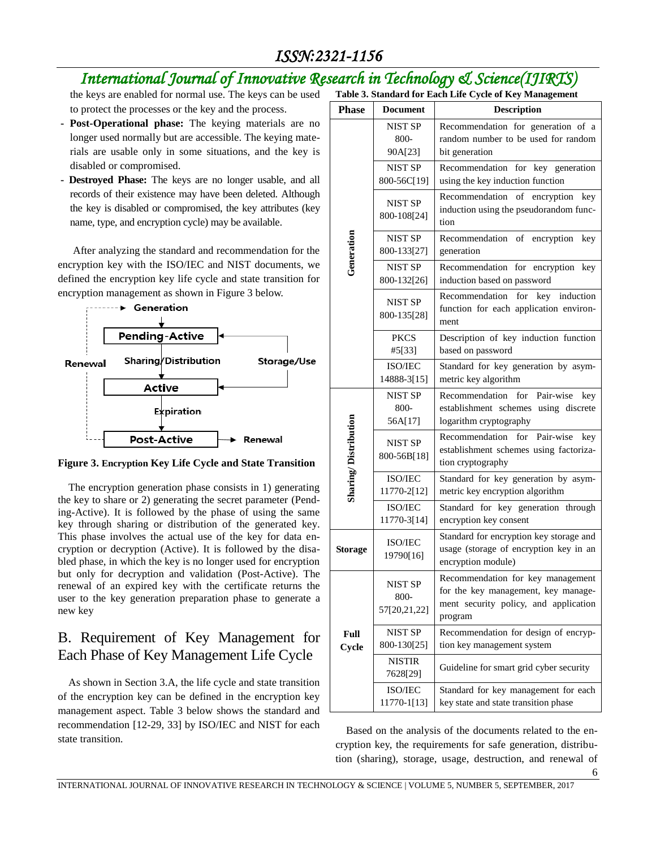# *International Journal of Innovative Research in Technology & Science(IJIRTS)*

the keys are enabled for normal use. The keys can be used to protect the processes or the key and the process.

- **- Post-Operational phase:** The keying materials are no longer used normally but are accessible. The keying materials are usable only in some situations, and the key is disabled or compromised.
- **- Destroyed Phase:** The keys are no longer usable, and all records of their existence may have been deleted. Although the key is disabled or compromised, the key attributes (key name, type, and encryption cycle) may be available.

After analyzing the standard and recommendation for the encryption key with the ISO/IEC and NIST documents, we defined the encryption key life cycle and state transition for encryption management as shown in Figure 3 below.



**Figure 3. Encryption Key Life Cycle and State Transition**

The encryption generation phase consists in 1) generating the key to share or 2) generating the secret parameter (Pending-Active). It is followed by the phase of using the same key through sharing or distribution of the generated key. This phase involves the actual use of the key for data encryption or decryption (Active). It is followed by the disabled phase, in which the key is no longer used for encryption but only for decryption and validation (Post-Active). The renewal of an expired key with the certificate returns the user to the key generation preparation phase to generate a new key

### B. Requirement of Key Management for Each Phase of Key Management Life Cycle

As shown in Section 3.A, the life cycle and state transition of the encryption key can be defined in the encryption key management aspect. Table 3 below shows the standard and recommendation [12-29, 33] by ISO/IEC and NIST for each state transition.

| Table 3. Standard for Each Life Cycle of Key Management |  |
|---------------------------------------------------------|--|

| <b>Phase</b>                | <b>Document</b>                        | $100$ extently maintenance<br><b>Description</b>                                                                             |  |
|-----------------------------|----------------------------------------|------------------------------------------------------------------------------------------------------------------------------|--|
|                             | <b>NIST SP</b>                         | Recommendation for generation of a                                                                                           |  |
| Generation                  | 800-                                   | random number to be used for random                                                                                          |  |
|                             | 90A[23]                                | bit generation                                                                                                               |  |
|                             | <b>NIST SP</b>                         | Recommendation for key generation                                                                                            |  |
|                             | 800-56C[19]                            | using the key induction function                                                                                             |  |
|                             | <b>NIST SP</b><br>800-108[24]          | Recommendation of encryption<br>key<br>induction using the pseudorandom func-<br>tion                                        |  |
|                             | <b>NIST SP</b><br>800-133[27]          | Recommendation of encryption<br>key<br>generation                                                                            |  |
|                             | <b>NIST SP</b><br>800-132[26]          | Recommendation for encryption<br>key<br>induction based on password                                                          |  |
|                             | <b>NIST SP</b><br>800-135[28]          | Recommendation for key induction<br>function for each application environ-<br>ment                                           |  |
|                             | <b>PKCS</b><br>#5[33]                  | Description of key induction function<br>based on password                                                                   |  |
|                             | ISO/IEC<br>14888-3[15]                 | Standard for key generation by asym-<br>metric key algorithm                                                                 |  |
|                             | <b>NIST SP</b>                         | Recommendation for Pair-wise<br>key                                                                                          |  |
|                             | 800-                                   | establishment schemes using discrete                                                                                         |  |
|                             | 56A[17]                                | logarithm cryptography                                                                                                       |  |
| <b>Sharing/Distribution</b> | <b>NIST SP</b><br>800-56B[18]          | Recommendation for Pair-wise<br>key<br>establishment schemes using factoriza-<br>tion cryptography                           |  |
|                             | ISO/IEC<br>11770-2[12]                 | Standard for key generation by asym-<br>metric key encryption algorithm                                                      |  |
|                             | ISO/IEC<br>11770-3[14]                 | Standard for key generation through<br>encryption key consent                                                                |  |
| <b>Storage</b>              | ISO/IEC<br>19790[16]                   | Standard for encryption key storage and<br>usage (storage of encryption key in an<br>encryption module)                      |  |
| Full<br>Cycle               | <b>NIST SP</b><br>800-<br>57[20,21,22] | Recommendation for key management<br>for the key management, key manage-<br>ment security policy, and application<br>program |  |
|                             | NIST SP<br>800-130[25]                 | Recommendation for design of encryp-<br>tion key management system                                                           |  |
|                             | <b>NISTIR</b><br>7628[29]              | Guideline for smart grid cyber security                                                                                      |  |
|                             | ISO/IEC<br>11770-1[13]                 | Standard for key management for each<br>key state and state transition phase                                                 |  |

Based on the analysis of the documents related to the encryption key, the requirements for safe generation, distribution (sharing), storage, usage, destruction, and renewal of

6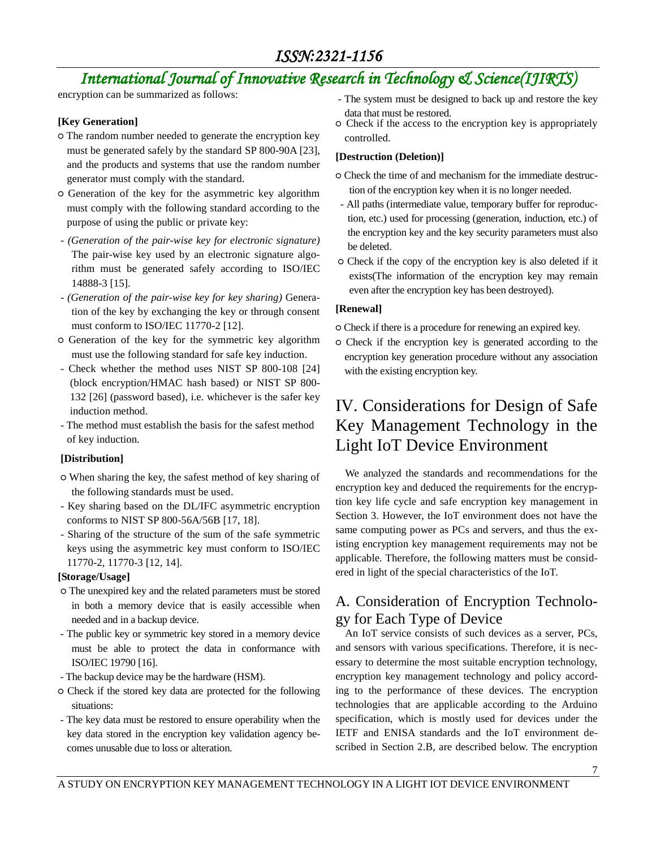# *International Journal of Innovative Research in Technology & Science(IJIRTS)*

encryption can be summarized as follows:

#### **[Key Generation]**

- **○** The random number needed to generate the encryption key must be generated safely by the standard SP 800-90A [23], and the products and systems that use the random number generator must comply with the standard.
- **○** Generation of the key for the asymmetric key algorithm must comply with the following standard according to the purpose of using the public or private key:
- *(Generation of the pair-wise key for electronic signature)* The pair-wise key used by an electronic signature algorithm must be generated safely according to ISO/IEC 14888-3 [15].
- *(Generation of the pair-wise key for key sharing)* Generation of the key by exchanging the key or through consent must conform to ISO/IEC 11770-2 [12].
- **○** Generation of the key for the symmetric key algorithm must use the following standard for safe key induction.
- Check whether the method uses NIST SP 800-108 [24] (block encryption/HMAC hash based) or NIST SP 800- 132 [26] (password based), i.e. whichever is the safer key induction method.
- The method must establish the basis for the safest method of key induction.

#### **[Distribution]**

- **○** When sharing the key, the safest method of key sharing of the following standards must be used.
- Key sharing based on the DL/IFC asymmetric encryption conforms to NIST SP 800-56A/56B [17, 18].
- Sharing of the structure of the sum of the safe symmetric keys using the asymmetric key must conform to ISO/IEC 11770-2, 11770-3 [12, 14].

#### **[Storage/Usage]**

- **○** The unexpired key and the related parameters must be stored in both a memory device that is easily accessible when needed and in a backup device.
- The public key or symmetric key stored in a memory device must be able to protect the data in conformance with ISO/IEC 19790 [16].
- The backup device may be the hardware (HSM).
- **○** Check if the stored key data are protected for the following situations:
- The key data must be restored to ensure operability when the key data stored in the encryption key validation agency becomes unusable due to loss or alteration.
- The system must be designed to back up and restore the key data that must be restored.
- **○** Check if the access to the encryption key is appropriately controlled.

#### **[Destruction (Deletion)]**

- **○** Check the time of and mechanism for the immediate destruction of the encryption key when it is no longer needed.
- All paths (intermediate value, temporary buffer for reproduction, etc.) used for processing (generation, induction, etc.) of the encryption key and the key security parameters must also be deleted.
- **○** Check if the copy of the encryption key is also deleted if it exists(The information of the encryption key may remain even after the encryption key has been destroyed).

#### **[Renewal]**

- **○** Check if there is a procedure for renewing an expired key.
- **○** Check if the encryption key is generated according to the encryption key generation procedure without any association with the existing encryption key.

# IV. Considerations for Design of Safe Key Management Technology in the Light IoT Device Environment

We analyzed the standards and recommendations for the encryption key and deduced the requirements for the encryption key life cycle and safe encryption key management in Section 3. However, the IoT environment does not have the same computing power as PCs and servers, and thus the existing encryption key management requirements may not be applicable. Therefore, the following matters must be considered in light of the special characteristics of the IoT.

### A. Consideration of Encryption Technology for Each Type of Device

An IoT service consists of such devices as a server, PCs, and sensors with various specifications. Therefore, it is necessary to determine the most suitable encryption technology, encryption key management technology and policy according to the performance of these devices. The encryption technologies that are applicable according to the Arduino specification, which is mostly used for devices under the IETF and ENISA standards and the IoT environment described in Section 2.B, are described below. The encryption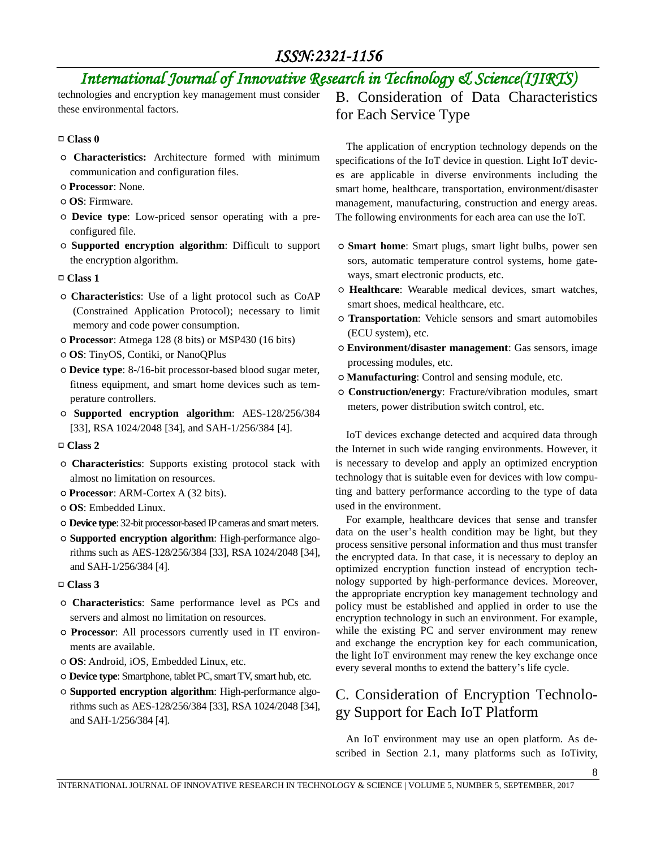# *International Journal of Innovative Research in Technology & Science(IJIRTS)*

technologies and encryption key management must consider these environmental factors.

#### □ **Class 0**

- **○ Characteristics:** Architecture formed with minimum communication and configuration files.
- **○ Processor**: None.
- **○ OS**: Firmware.
- **○ Device type**: Low-priced sensor operating with a preconfigured file.
- **○ Supported encryption algorithm**: Difficult to support the encryption algorithm.

#### □ **Class 1**

- **○ Characteristics**: Use of a light protocol such as CoAP (Constrained Application Protocol); necessary to limit memory and code power consumption.
- **○ Processor**: Atmega 128 (8 bits) or MSP430 (16 bits)
- **○ OS**: TinyOS, Contiki, or NanoQPlus
- **○ Device type**: 8-/16-bit processor-based blood sugar meter, fitness equipment, and smart home devices such as temperature controllers.
- **○ Supported encryption algorithm**: AES-128/256/384 [33], RSA 1024/2048 [34], and SAH-1/256/384 [4].

#### □ **Class 2**

- **○ Characteristics**: Supports existing protocol stack with almost no limitation on resources.
- **○ Processor**: ARM-Cortex A (32 bits).
- **○ OS**: Embedded Linux.
- **○ Device type**: 32-bit processor-based IP cameras and smart meters.
- **○ Supported encryption algorithm**: High-performance algorithms such as AES-128/256/384 [33], RSA 1024/2048 [34], and SAH-1/256/384 [4].

#### □ **Class 3**

- **○ Characteristics**: Same performance level as PCs and servers and almost no limitation on resources.
- **○ Processor**: All processors currently used in IT environments are available.
- **○ OS**: Android, iOS, Embedded Linux, etc.
- **○ Device type**: Smartphone, tablet PC, smart TV, smart hub, etc.
- **○ Supported encryption algorithm**: High-performance algorithms such as AES-128/256/384 [33], RSA 1024/2048 [34], and SAH-1/256/384 [4].

# B. Consideration of Data Characteristics for Each Service Type

The application of encryption technology depends on the specifications of the IoT device in question. Light IoT devices are applicable in diverse environments including the smart home, healthcare, transportation, environment/disaster management, manufacturing, construction and energy areas. The following environments for each area can use the IoT.

- **○ Smart home**: Smart plugs, smart light bulbs, power sen sors, automatic temperature control systems, home gateways, smart electronic products, etc.
- **○ Healthcare**: Wearable medical devices, smart watches, smart shoes, medical healthcare, etc.
- **○ Transportation**: Vehicle sensors and smart automobiles (ECU system), etc.
- **○ Environment/disaster management**: Gas sensors, image processing modules, etc.
- **○ Manufacturing**: Control and sensing module, etc.
- **○ Construction/energy**: Fracture/vibration modules, smart meters, power distribution switch control, etc.

IoT devices exchange detected and acquired data through the Internet in such wide ranging environments. However, it is necessary to develop and apply an optimized encryption technology that is suitable even for devices with low computing and battery performance according to the type of data used in the environment.

For example, healthcare devices that sense and transfer data on the user's health condition may be light, but they process sensitive personal information and thus must transfer the encrypted data. In that case, it is necessary to deploy an optimized encryption function instead of encryption technology supported by high-performance devices. Moreover, the appropriate encryption key management technology and policy must be established and applied in order to use the encryption technology in such an environment. For example, while the existing PC and server environment may renew and exchange the encryption key for each communication, the light IoT environment may renew the key exchange once every several months to extend the battery's life cycle.

### C. Consideration of Encryption Technology Support for Each IoT Platform

An IoT environment may use an open platform. As described in Section 2.1, many platforms such as IoTivity,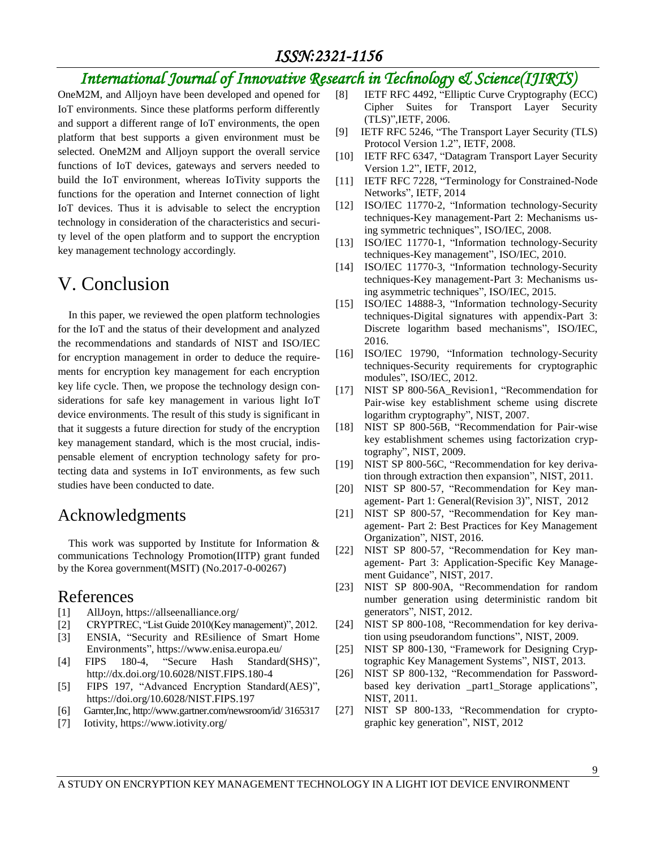# *International Journal of Innovative Research in Technology & Science(IJIRTS)*

OneM2M, and Alljoyn have been developed and opened for IoT environments. Since these platforms perform differently and support a different range of IoT environments, the open platform that best supports a given environment must be selected. OneM2M and Alljoyn support the overall service functions of IoT devices, gateways and servers needed to build the IoT environment, whereas IoTivity supports the functions for the operation and Internet connection of light IoT devices. Thus it is advisable to select the encryption technology in consideration of the characteristics and security level of the open platform and to support the encryption key management technology accordingly.

# V. Conclusion

In this paper, we reviewed the open platform technologies for the IoT and the status of their development and analyzed the recommendations and standards of NIST and ISO/IEC for encryption management in order to deduce the requirements for encryption key management for each encryption key life cycle. Then, we propose the technology design considerations for safe key management in various light IoT device environments. The result of this study is significant in that it suggests a future direction for study of the encryption key management standard, which is the most crucial, indispensable element of encryption technology safety for protecting data and systems in IoT environments, as few such studies have been conducted to date.

### Acknowledgments

This work was supported by Institute for Information & communications Technology Promotion(IITP) grant funded by the Korea government(MSIT) (No.2017-0-00267)

### References

- [1] AllJoyn[, https://allseenalliance.org/](https://allseenalliance.org/)
- [2] CRYPTREC, "List Guide 2010(Key management)", 2012.
- [3] ENSIA, "Security and REsilience of Smart Home Environments", https://www.enisa.europa.eu/
- [4] FIPS 180-4, "Secure Hash Standard(SHS)", http://dx.doi.org/10.6028/NIST.FIPS.180-4
- [5] FIPS 197, "Advanced Encryption Standard(AES)", https://doi.org/10.6028/NIST.FIPS.197
- [6] Garnter,Inc, http://www.gartner.com/newsroom/id/ 3165317
- [7] Iotivity, https://www.iotivity.org/
- [8] IETF RFC 4492, "Elliptic Curve Cryptography (ECC) Cipher Suites for Transport Layer Security (TLS)",IETF, 2006.
- [9] IETF RFC 5246, "The Transport Layer Security (TLS) Protocol Version 1.2", IETF, 2008.
- [10] IETF RFC 6347, "Datagram Transport Layer Security Version 1.2", IETF, 2012,
- [11] IETF RFC 7228, "Terminology for Constrained-Node Networks", IETF, 2014
- [12] ISO/IEC 11770-2, "Information technology-Security techniques-Key management-Part 2: Mechanisms using symmetric techniques", ISO/IEC, 2008.
- [13] ISO/IEC 11770-1, "Information technology-Security techniques-Key management", ISO/IEC, 2010.
- [14] ISO/IEC 11770-3, "Information technology-Security techniques-Key management-Part 3: Mechanisms using asymmetric techniques", ISO/IEC, 2015.
- [15] ISO/IEC 14888-3, "Information technology-Security techniques-Digital signatures with appendix-Part 3: Discrete logarithm based mechanisms", ISO/IEC, 2016.
- [16] ISO/IEC 19790, "Information technology-Security techniques-Security requirements for cryptographic modules", ISO/IEC, 2012.
- [17] NIST SP 800-56A\_Revision1, "Recommendation for Pair-wise key establishment scheme using discrete logarithm cryptography", NIST, 2007.
- [18] NIST SP 800-56B, "Recommendation for Pair-wise key establishment schemes using factorization cryptography", NIST, 2009.
- [19] NIST SP 800-56C, "Recommendation for key derivation through extraction then expansion", NIST, 2011.
- [20] NIST SP 800-57, "Recommendation for Key management- Part 1: General(Revision 3)", NIST, 2012
- [21] NIST SP 800-57, "Recommendation for Key management- Part 2: Best Practices for Key Management Organization", NIST, 2016.
- [22] NIST SP 800-57, "Recommendation for Key management- Part 3: Application-Specific Key Management Guidance", NIST, 2017.
- [23] NIST SP 800-90A, "Recommendation for random number generation using deterministic random bit generators", NIST, 2012.
- [24] NIST SP 800-108, "Recommendation for key derivation using pseudorandom functions", NIST, 2009.
- [25] NIST SP 800-130, "Framework for Designing Cryptographic Key Management Systems", NIST, 2013.
- [26] NIST SP 800-132, "Recommendation for Passwordbased key derivation \_part1\_Storage applications", NIST, 2011.
- [27] NIST SP 800-133, "Recommendation for cryptographic key generation", NIST, 2012